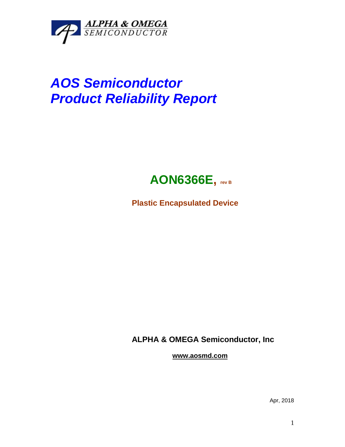

## *AOS Semiconductor Product Reliability Report*



**Plastic Encapsulated Device**

**ALPHA & OMEGA Semiconductor, Inc**

**www.aosmd.com**

Apr, 2018